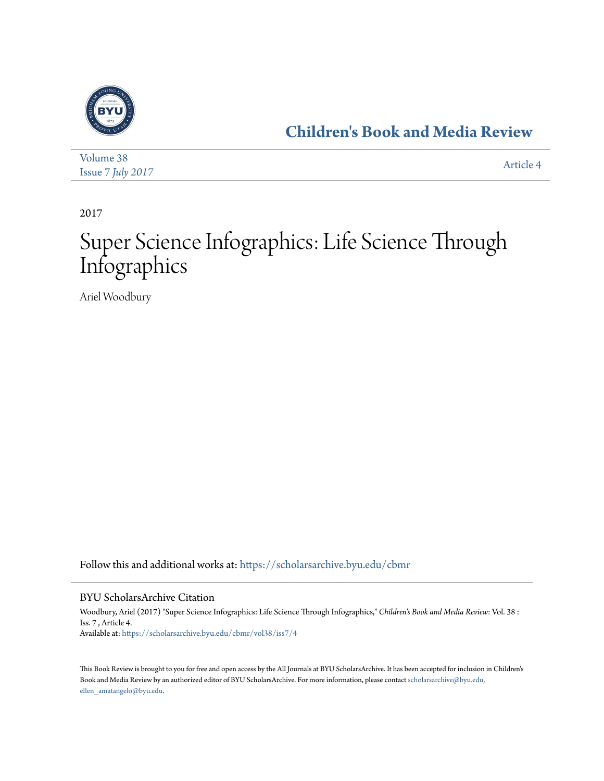

**[Children's Book and Media Review](https://scholarsarchive.byu.edu/cbmr?utm_source=scholarsarchive.byu.edu%2Fcbmr%2Fvol38%2Fiss7%2F4&utm_medium=PDF&utm_campaign=PDFCoverPages)**

| Volume 38         | Article 4 |
|-------------------|-----------|
| Issue 7 July 2017 |           |

2017

## Super Science Infographics: Life Science Through Infographics

Ariel Woodbury

Follow this and additional works at: [https://scholarsarchive.byu.edu/cbmr](https://scholarsarchive.byu.edu/cbmr?utm_source=scholarsarchive.byu.edu%2Fcbmr%2Fvol38%2Fiss7%2F4&utm_medium=PDF&utm_campaign=PDFCoverPages)

## BYU ScholarsArchive Citation

Woodbury, Ariel (2017) "Super Science Infographics: Life Science Through Infographics," *Children's Book and Media Review*: Vol. 38 : Iss. 7 , Article 4. Available at: [https://scholarsarchive.byu.edu/cbmr/vol38/iss7/4](https://scholarsarchive.byu.edu/cbmr/vol38/iss7/4?utm_source=scholarsarchive.byu.edu%2Fcbmr%2Fvol38%2Fiss7%2F4&utm_medium=PDF&utm_campaign=PDFCoverPages)

This Book Review is brought to you for free and open access by the All Journals at BYU ScholarsArchive. It has been accepted for inclusion in Children's Book and Media Review by an authorized editor of BYU ScholarsArchive. For more information, please contact [scholarsarchive@byu.edu,](mailto:scholarsarchive@byu.edu,%20ellen_amatangelo@byu.edu) [ellen\\_amatangelo@byu.edu.](mailto:scholarsarchive@byu.edu,%20ellen_amatangelo@byu.edu)